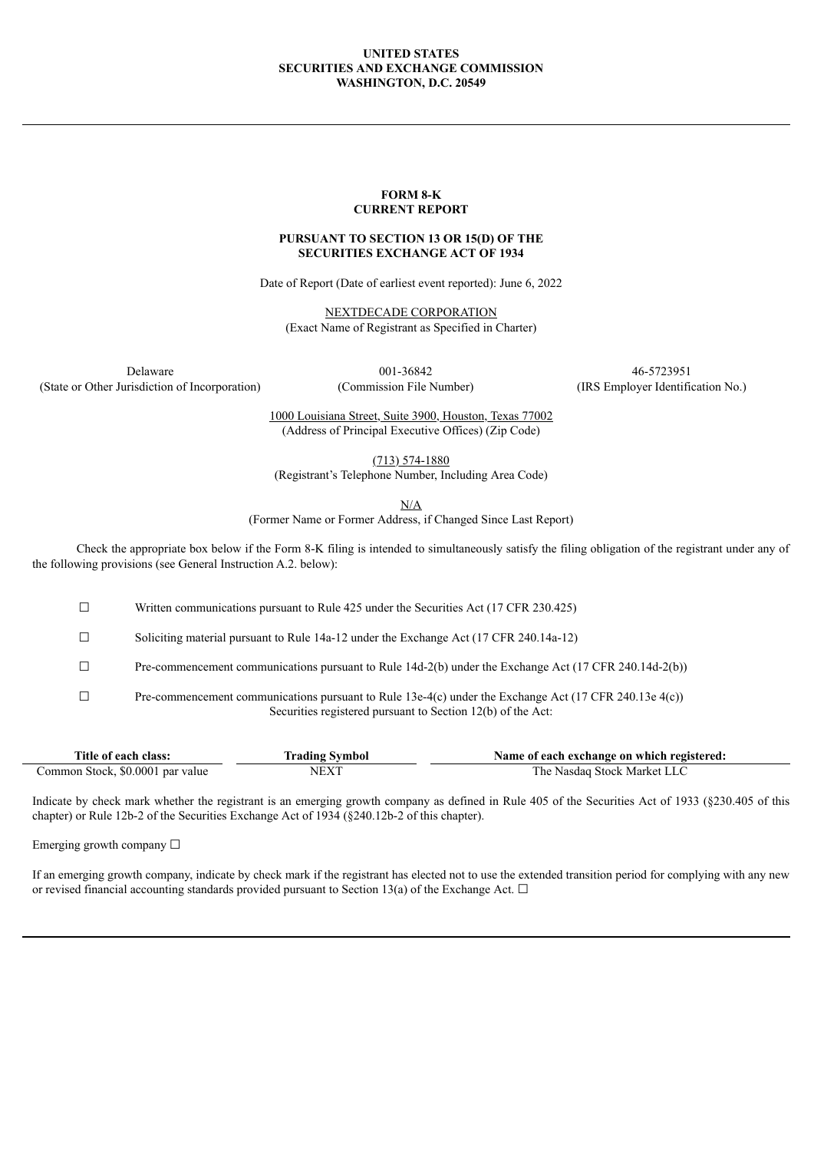## **UNITED STATES SECURITIES AND EXCHANGE COMMISSION WASHINGTON, D.C. 20549**

### **FORM 8-K CURRENT REPORT**

# **PURSUANT TO SECTION 13 OR 15(D) OF THE SECURITIES EXCHANGE ACT OF 1934**

Date of Report (Date of earliest event reported): June 6, 2022

NEXTDECADE CORPORATION (Exact Name of Registrant as Specified in Charter)

(State or Other Jurisdiction of Incorporation) (Commission File Number) (IRS Employer Identification No.)

Delaware 001-36842 46-5723951

1000 Louisiana Street, Suite 3900, Houston, Texas 77002 (Address of Principal Executive Offices) (Zip Code)

(713) 574-1880

(Registrant's Telephone Number, Including Area Code)

N/A

(Former Name or Former Address, if Changed Since Last Report)

Check the appropriate box below if the Form 8-K filing is intended to simultaneously satisfy the filing obligation of the registrant under any of the following provisions (see General Instruction A.2. below):

☐ Written communications pursuant to Rule 425 under the Securities Act (17 CFR 230.425)

☐ Soliciting material pursuant to Rule 14a-12 under the Exchange Act (17 CFR 240.14a-12)

☐ Pre-commencement communications pursuant to Rule 14d-2(b) under the Exchange Act (17 CFR 240.14d-2(b))

☐ Pre-commencement communications pursuant to Rule 13e-4(c) under the Exchange Act (17 CFR 240.13e 4(c)) Securities registered pursuant to Section 12(b) of the Act:

| Title of each class:             | `rading Symbol                  | Name of each exchange on which registered: |
|----------------------------------|---------------------------------|--------------------------------------------|
| Common Stock, \$0.0001 par value | $NEX$ <sup><math>-</math></sup> | The Nasdag Stock Market LLC                |

Indicate by check mark whether the registrant is an emerging growth company as defined in Rule 405 of the Securities Act of 1933 (§230.405 of this chapter) or Rule 12b-2 of the Securities Exchange Act of 1934 (§240.12b-2 of this chapter).

Emerging growth company  $\Box$ 

If an emerging growth company, indicate by check mark if the registrant has elected not to use the extended transition period for complying with any new or revised financial accounting standards provided pursuant to Section 13(a) of the Exchange Act.  $\Box$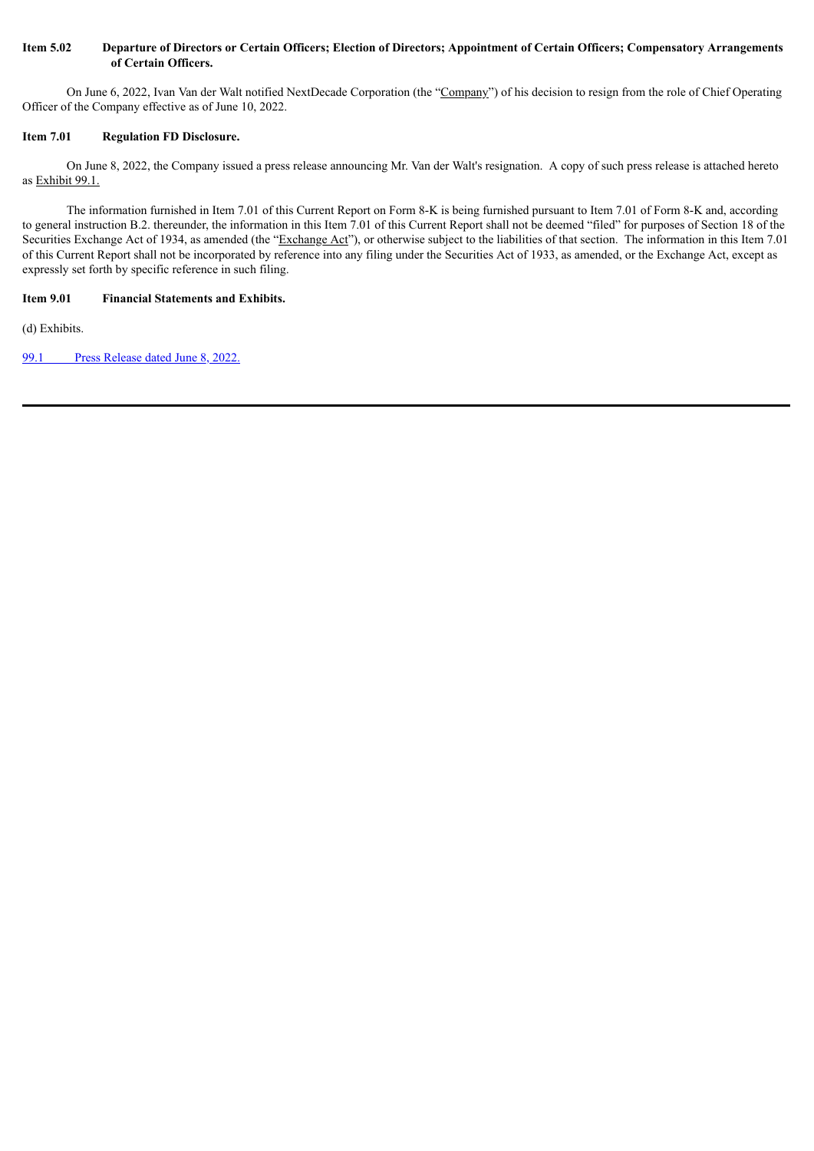# Item 5.02 Departure of Directors or Certain Officers; Election of Directors; Appointment of Certain Officers; Compensatory Arrangements **of Certain Officers.**

On June 6, 2022, Ivan Van der Walt notified NextDecade Corporation (the "Company") of his decision to resign from the role of Chief Operating Officer of the Company effective as of June 10, 2022.

# **Item 7.01 Regulation FD Disclosure.**

On June 8, 2022, the Company issued a press release announcing Mr. Van der Walt's resignation. A copy of such press release is attached hereto as Exhibit 99.1.

The information furnished in Item 7.01 of this Current Report on Form 8-K is being furnished pursuant to Item 7.01 of Form 8-K and, according to general instruction B.2. thereunder, the information in this Item 7.01 of this Current Report shall not be deemed "filed" for purposes of Section 18 of the Securities Exchange Act of 1934, as amended (the "Exchange Act"), or otherwise subject to the liabilities of that section. The information in this Item 7.01 of this Current Report shall not be incorporated by reference into any filing under the Securities Act of 1933, as amended, or the Exchange Act, except as expressly set forth by specific reference in such filing.

# **Item 9.01 Financial Statements and Exhibits.**

(d) Exhibits.

99.1 Press [Release](#page-3-0) dated June 8, 2022.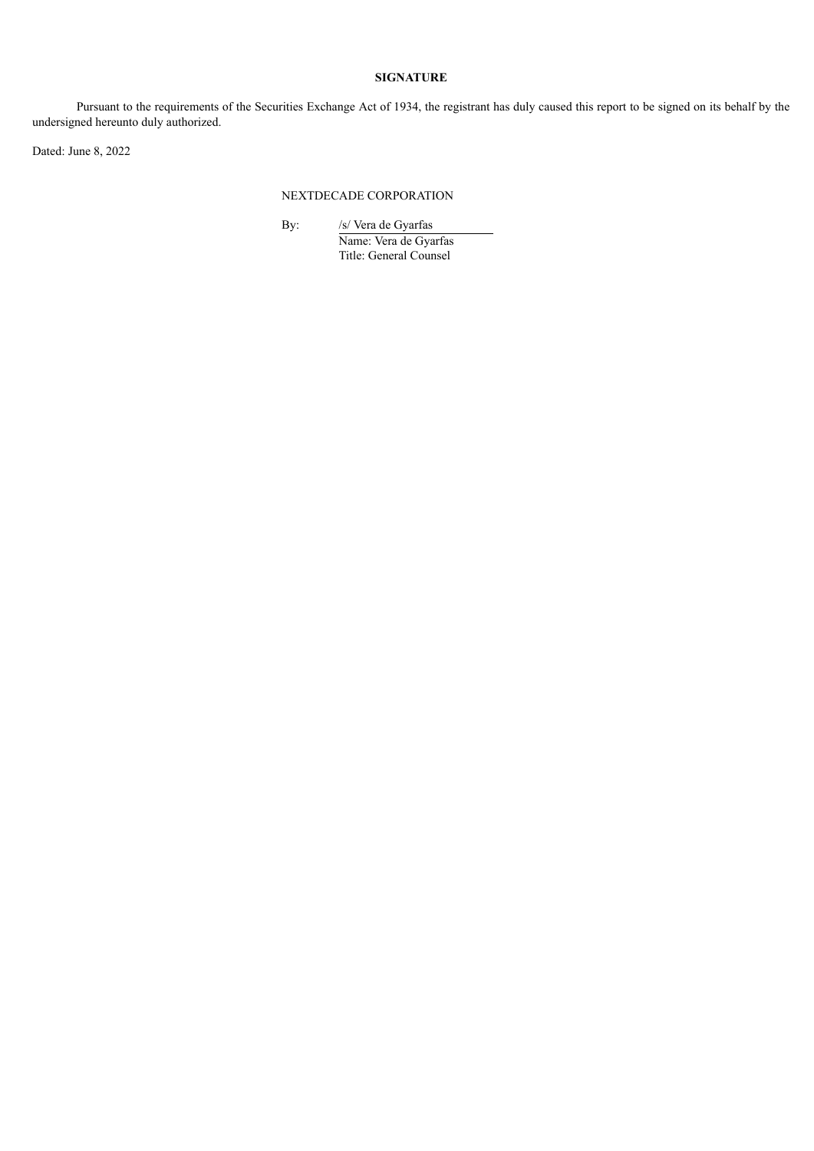# **SIGNATURE**

Pursuant to the requirements of the Securities Exchange Act of 1934, the registrant has duly caused this report to be signed on its behalf by the undersigned hereunto duly authorized.

Dated: June 8, 2022

## NEXTDECADE CORPORATION

By: /s/ Vera de Gyarfas Name: Vera de Gyarfas Title: General Counsel